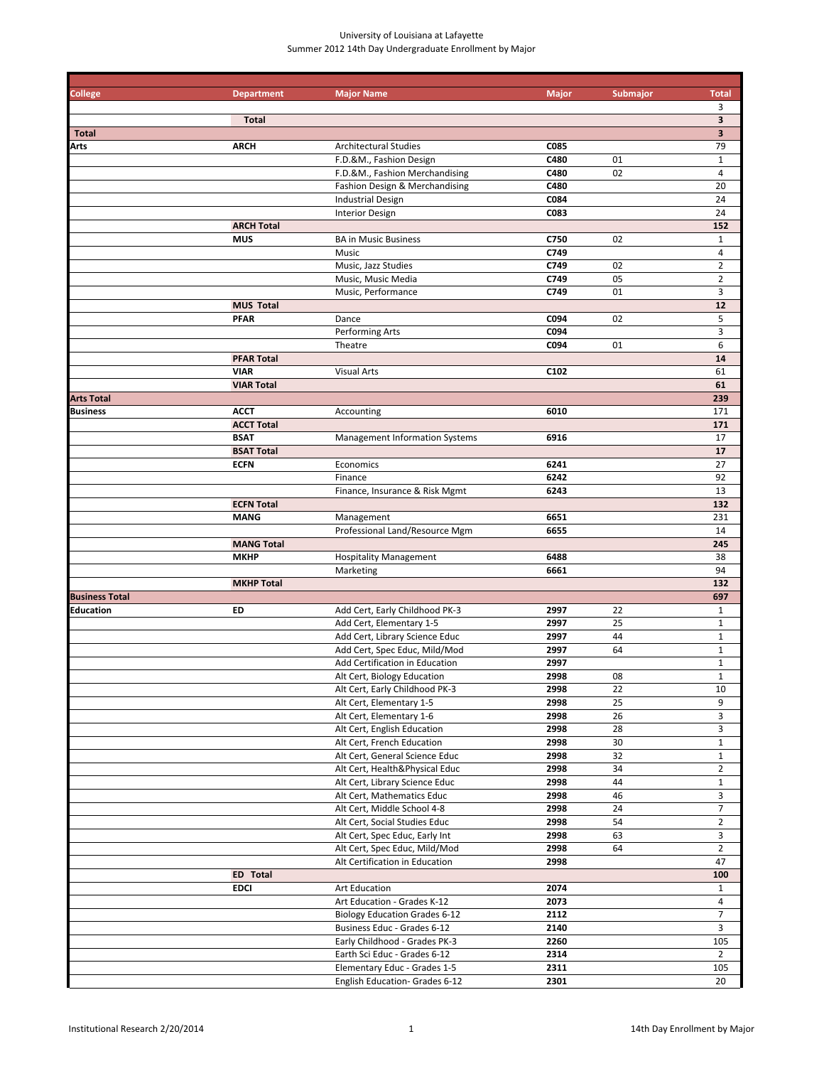### University of Louisiana at Lafayette Summer 2012 14th Day Undergraduate Enrollment by Major

| <b>College</b>        | <b>Department</b> | <b>Major Name</b>                     | <b>Major</b>     | Submajor | <b>Total</b>            |
|-----------------------|-------------------|---------------------------------------|------------------|----------|-------------------------|
|                       |                   |                                       |                  |          | 3                       |
|                       | <b>Total</b>      |                                       |                  |          | 3                       |
| <b>Total</b>          |                   |                                       |                  |          | 3                       |
| Arts                  | <b>ARCH</b>       | <b>Architectural Studies</b>          | C085             |          | 79                      |
|                       |                   | F.D.&M., Fashion Design               | C480             | 01       | $\mathbf{1}$            |
|                       |                   | F.D.&M., Fashion Merchandising        | C480             | 02       | $\overline{\mathbf{4}}$ |
|                       |                   | Fashion Design & Merchandising        | C480             |          | 20                      |
|                       |                   | <b>Industrial Design</b>              | C084             |          | 24                      |
|                       |                   |                                       | C083             |          | 24                      |
|                       |                   | <b>Interior Design</b>                |                  |          |                         |
|                       | <b>ARCH Total</b> |                                       |                  |          | 152                     |
|                       | <b>MUS</b>        | <b>BA in Music Business</b>           | C750             | 02       | $\mathbf{1}$            |
|                       |                   | Music                                 | C749             |          | $\overline{4}$          |
|                       |                   | Music, Jazz Studies                   | C749             | 02       | $\overline{2}$          |
|                       |                   | Music, Music Media                    | C749             | 05       | $\overline{2}$          |
|                       |                   | Music, Performance                    | C749             | 01       | 3                       |
|                       | <b>MUS Total</b>  |                                       |                  |          | 12                      |
|                       | <b>PFAR</b>       | Dance                                 | C094             | 02       | 5                       |
|                       |                   | Performing Arts                       | C094             |          | 3                       |
|                       |                   | Theatre                               | C094             | 01       | 6                       |
|                       | <b>PFAR Total</b> |                                       |                  |          | 14                      |
|                       | <b>VIAR</b>       | <b>Visual Arts</b>                    | C <sub>102</sub> |          | 61                      |
|                       | <b>VIAR Total</b> |                                       |                  |          | 61                      |
| <b>Arts Total</b>     |                   |                                       |                  |          | 239                     |
| <b>Business</b>       | <b>ACCT</b>       |                                       | 6010             |          | 171                     |
|                       |                   | Accounting                            |                  |          |                         |
|                       | <b>ACCT Total</b> |                                       |                  |          | 171                     |
|                       | <b>BSAT</b>       | <b>Management Information Systems</b> | 6916             |          | 17                      |
|                       | <b>BSAT Total</b> |                                       |                  |          | 17                      |
|                       | <b>ECFN</b>       | Economics                             | 6241             |          | 27                      |
|                       |                   | Finance                               | 6242             |          | 92                      |
|                       |                   | Finance, Insurance & Risk Mgmt        | 6243             |          | 13                      |
|                       | <b>ECFN Total</b> |                                       |                  |          | 132                     |
|                       | <b>MANG</b>       | Management                            | 6651             |          | 231                     |
|                       |                   | Professional Land/Resource Mgm        | 6655             |          | 14                      |
|                       | <b>MANG Total</b> |                                       |                  |          | 245                     |
|                       | <b>MKHP</b>       | <b>Hospitality Management</b>         | 6488             |          | 38                      |
|                       |                   | Marketing                             | 6661             |          | 94                      |
|                       | <b>MKHP Total</b> |                                       |                  |          | 132                     |
| <b>Business Total</b> |                   |                                       |                  |          | 697                     |
| Education             | ED                | Add Cert, Early Childhood PK-3        | 2997             | 22       | $\mathbf{1}$            |
|                       |                   |                                       |                  |          |                         |
|                       |                   | Add Cert, Elementary 1-5              | 2997             | 25       | $\mathbf{1}$            |
|                       |                   | Add Cert, Library Science Educ        | 2997             | 44       | $\mathbf 1$             |
|                       |                   | Add Cert, Spec Educ, Mild/Mod         | 2997             | 64       | $\mathbf{1}$            |
|                       |                   | Add Certification in Education        | 2997             |          | $\mathbf{1}$            |
|                       |                   | Alt Cert, Biology Education           | 2998             | 08       | $\mathbf{1}$            |
|                       |                   | Alt Cert, Early Childhood PK-3        | 2998             | 22       | 10                      |
|                       |                   | Alt Cert, Elementary 1-5              | 2998             | 25       | 9                       |
|                       |                   | Alt Cert, Elementary 1-6              | 2998             | 26       | 3                       |
|                       |                   | Alt Cert, English Education           | 2998             | 28       | 3                       |
|                       |                   | Alt Cert, French Education            | 2998             | 30       | $\mathbf{1}$            |
|                       |                   | Alt Cert, General Science Educ        | 2998             | 32       | $\mathbf{1}$            |
|                       |                   | Alt Cert, Health&Physical Educ        | 2998             | 34       | $\overline{2}$          |
|                       |                   | Alt Cert, Library Science Educ        | 2998             | 44       | $\mathbf{1}$            |
|                       |                   | Alt Cert, Mathematics Educ            | 2998             | 46       | 3                       |
|                       |                   | Alt Cert, Middle School 4-8           | 2998             | 24       | $\overline{7}$          |
|                       |                   |                                       |                  |          |                         |
|                       |                   | Alt Cert, Social Studies Educ         | 2998             | 54       | $\overline{2}$          |
|                       |                   | Alt Cert, Spec Educ, Early Int        | 2998             | 63       | 3                       |
|                       |                   | Alt Cert, Spec Educ, Mild/Mod         | 2998             | 64       | $\overline{2}$          |
|                       |                   | Alt Certification in Education        | 2998             |          | 47                      |
|                       | <b>ED</b> Total   |                                       |                  |          | 100                     |
|                       | <b>EDCI</b>       | Art Education                         | 2074             |          | $\mathbf{1}$            |
|                       |                   | Art Education - Grades K-12           | 2073             |          | $\overline{4}$          |
|                       |                   | <b>Biology Education Grades 6-12</b>  | 2112             |          | $\overline{7}$          |
|                       |                   | Business Educ - Grades 6-12           | 2140             |          | 3                       |
|                       |                   | Early Childhood - Grades PK-3         | 2260             |          | 105                     |
|                       |                   | Earth Sci Educ - Grades 6-12          | 2314             |          | $\overline{2}$          |
|                       |                   | Elementary Educ - Grades 1-5          | 2311             |          | 105                     |
|                       |                   |                                       |                  |          | 20                      |
|                       |                   | English Education- Grades 6-12        | 2301             |          |                         |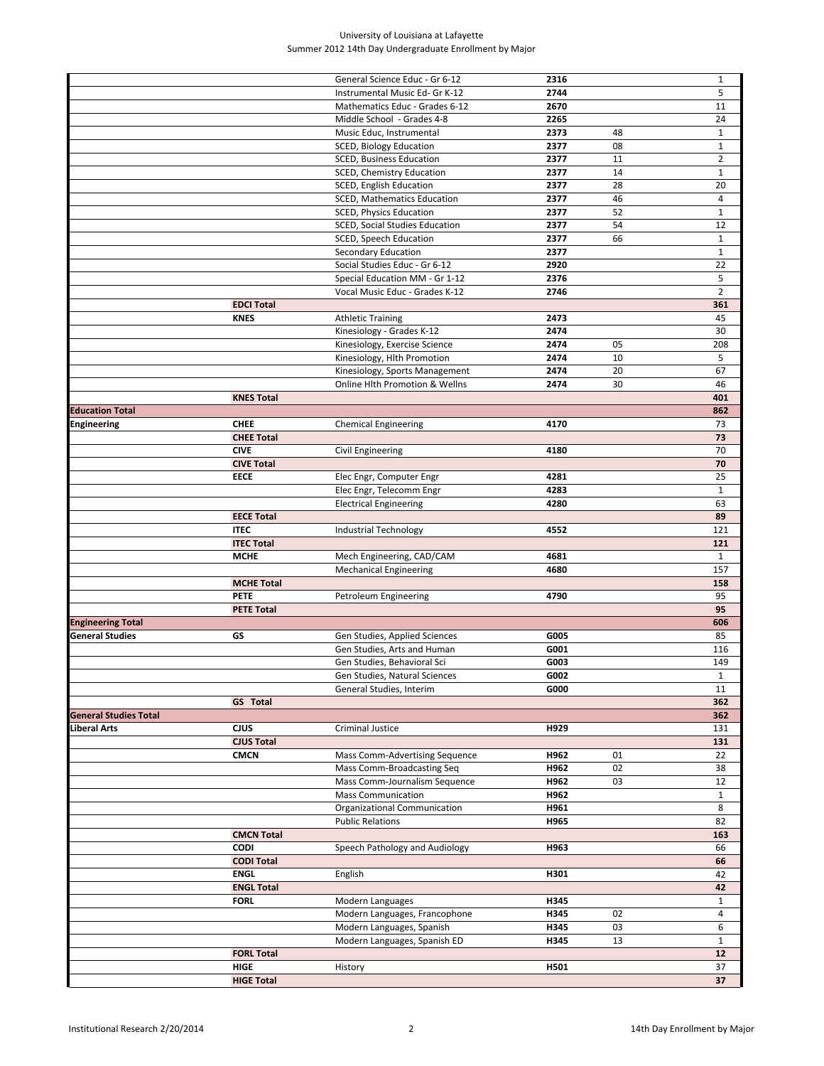#### University of Louisiana at Lafayette Summer 2012 14th Day Undergraduate Enrollment by Major

|                              |                                  | General Science Educ - Gr 6-12                             | 2316         |          | $\mathbf{1}$       |
|------------------------------|----------------------------------|------------------------------------------------------------|--------------|----------|--------------------|
|                              |                                  | Instrumental Music Ed- Gr K-12                             | 2744         |          | 5                  |
|                              |                                  | Mathematics Educ - Grades 6-12                             | 2670         |          | 11                 |
|                              |                                  | Middle School - Grades 4-8                                 | 2265         |          | 24                 |
|                              |                                  | Music Educ, Instrumental                                   | 2373         | 48       | $\mathbf{1}$       |
|                              |                                  | SCED, Biology Education                                    | 2377         | 08       | $\mathbf{1}$       |
|                              |                                  | <b>SCED, Business Education</b>                            | 2377         | 11       | $\overline{2}$     |
|                              |                                  | SCED, Chemistry Education                                  | 2377         | 14       | $\mathbf{1}$       |
|                              |                                  | SCED, English Education                                    | 2377         | 28       | 20                 |
|                              |                                  | <b>SCED, Mathematics Education</b>                         | 2377         | 46       | $\overline{4}$     |
|                              |                                  | <b>SCED, Physics Education</b>                             | 2377         | 52       | $\mathbf{1}$       |
|                              |                                  | SCED, Social Studies Education                             | 2377         | 54       | 12                 |
|                              |                                  | SCED, Speech Education                                     | 2377         | 66       | $\mathbf{1}$       |
|                              |                                  | Secondary Education                                        | 2377         |          | $\mathbf{1}$       |
|                              |                                  | Social Studies Educ - Gr 6-12                              | 2920         |          | 22                 |
|                              |                                  | Special Education MM - Gr 1-12                             | 2376         |          | 5                  |
|                              |                                  | Vocal Music Educ - Grades K-12                             | 2746         |          | $\overline{2}$     |
|                              | <b>EDCI Total</b>                |                                                            |              |          | 361                |
|                              | <b>KNES</b>                      | <b>Athletic Training</b>                                   | 2473         |          | 45                 |
|                              |                                  | Kinesiology - Grades K-12                                  | 2474         |          | 30                 |
|                              |                                  | Kinesiology, Exercise Science                              | 2474         | 05       | 208                |
|                              |                                  | Kinesiology, Hlth Promotion                                | 2474         | 10       | 5                  |
|                              |                                  | Kinesiology, Sports Management                             | 2474         | 20       | 67                 |
|                              |                                  | Online Hlth Promotion & Wellns                             | 2474         | 30       | 46                 |
|                              | <b>KNES Total</b>                |                                                            |              |          | 401                |
| <b>Education Total</b>       |                                  |                                                            |              |          | 862                |
| Engineering                  | <b>CHEE</b><br><b>CHEE Total</b> | <b>Chemical Engineering</b>                                | 4170         |          | 73<br>73           |
|                              | <b>CIVE</b>                      | Civil Engineering                                          | 4180         |          | 70                 |
|                              | <b>CIVE Total</b>                |                                                            |              |          | 70                 |
|                              | <b>EECE</b>                      | Elec Engr, Computer Engr                                   | 4281         |          | 25                 |
|                              |                                  | Elec Engr, Telecomm Engr                                   | 4283         |          | $\mathbf{1}$       |
|                              |                                  | <b>Electrical Engineering</b>                              | 4280         |          | 63                 |
|                              | <b>EECE Total</b>                |                                                            |              |          | 89                 |
|                              | <b>ITEC</b>                      | Industrial Technology                                      | 4552         |          | 121                |
|                              | <b>ITEC Total</b>                |                                                            |              |          | 121                |
|                              | <b>MCHE</b>                      | Mech Engineering, CAD/CAM                                  | 4681         |          | $\mathbf{1}$       |
|                              |                                  | <b>Mechanical Engineering</b>                              | 4680         |          | 157                |
|                              | <b>MCHE Total</b>                |                                                            |              |          | 158                |
|                              | <b>PETE</b>                      | Petroleum Engineering                                      | 4790         |          | 95                 |
|                              | <b>PETE Total</b>                |                                                            |              |          | 95                 |
| <b>Engineering Total</b>     |                                  |                                                            |              |          | 606                |
| General Studies              | GS                               | Gen Studies, Applied Sciences                              | G005         |          | 85                 |
|                              |                                  | Gen Studies, Arts and Human                                | G001         |          | 116                |
|                              |                                  | Gen Studies, Behavioral Sci                                | G003         |          | 149                |
|                              |                                  | Gen Studies, Natural Sciences                              | G002         |          | 1                  |
|                              |                                  | General Studies, Interim                                   | G000         |          | 11                 |
|                              | <b>GS</b> Total                  |                                                            |              |          | 362                |
| <b>General Studies Total</b> |                                  |                                                            |              |          | 362                |
| Liberal Arts                 | <b>CJUS</b>                      | Criminal Justice                                           | H929         |          | 131                |
|                              | <b>CJUS Total</b>                |                                                            |              |          | 131                |
|                              | <b>CMCN</b>                      | Mass Comm-Advertising Sequence                             | H962<br>H962 | 01<br>02 | 22                 |
|                              |                                  | Mass Comm-Broadcasting Seq                                 |              |          | 38                 |
|                              |                                  | Mass Comm-Journalism Sequence<br><b>Mass Communication</b> | H962<br>H962 | 03       | 12<br>$\mathbf{1}$ |
|                              |                                  | Organizational Communication                               | H961         |          | 8                  |
|                              |                                  | <b>Public Relations</b>                                    | H965         |          | 82                 |
|                              | <b>CMCN Total</b>                |                                                            |              |          | 163                |
|                              | <b>CODI</b>                      | Speech Pathology and Audiology                             | H963         |          | 66                 |
|                              | <b>CODI Total</b>                |                                                            |              |          | 66                 |
|                              | <b>ENGL</b>                      | English                                                    | H301         |          | 42                 |
|                              | <b>ENGL Total</b>                |                                                            |              |          | 42                 |
|                              | <b>FORL</b>                      | Modern Languages                                           | H345         |          | $\mathbf{1}$       |
|                              |                                  | Modern Languages, Francophone                              | H345         | 02       | 4                  |
|                              |                                  | Modern Languages, Spanish                                  | H345         | 03       | 6                  |
|                              |                                  | Modern Languages, Spanish ED                               | H345         | 13       | $\mathbf{1}$       |
|                              | <b>FORL Total</b>                |                                                            |              |          | 12                 |
|                              | HIGE                             | History                                                    | H501         |          | 37                 |
|                              | <b>HIGE Total</b>                |                                                            |              |          | 37                 |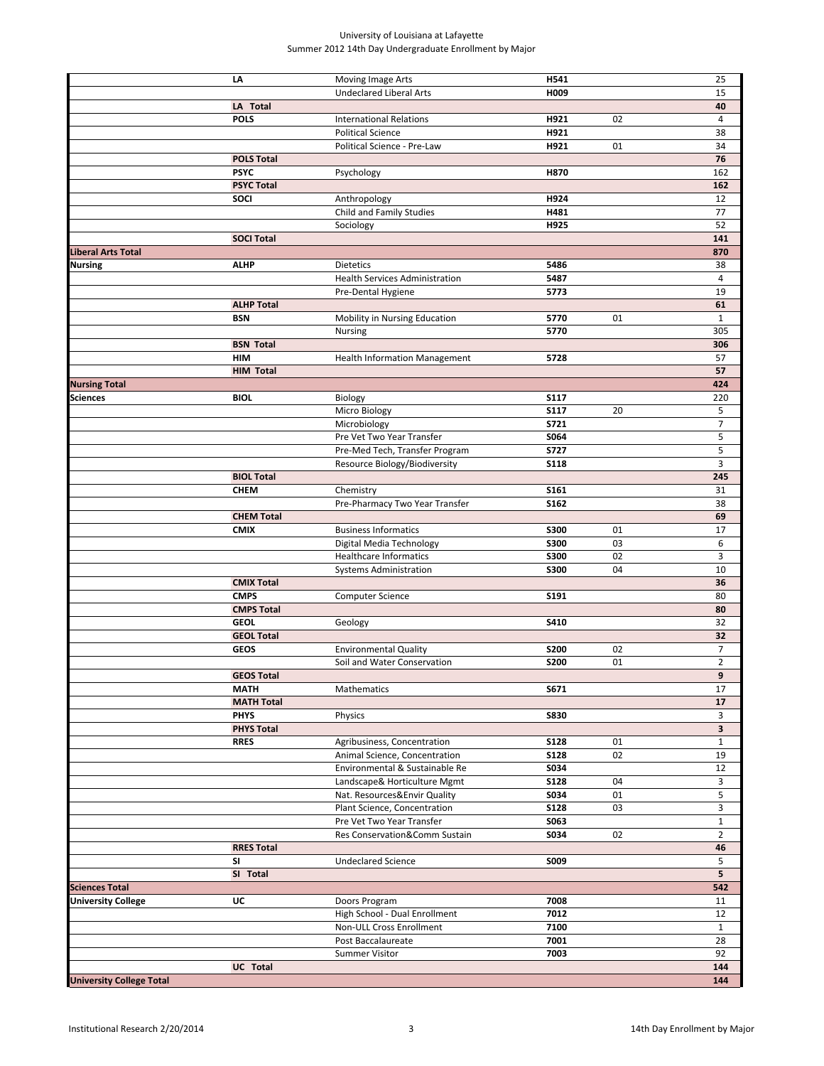#### University of Louisiana at Lafayette Summer 2012 14th Day Undergraduate Enrollment by Major

|                                 | LA                | Moving Image Arts                     | H541         |    | 25                      |
|---------------------------------|-------------------|---------------------------------------|--------------|----|-------------------------|
|                                 |                   | <b>Undeclared Liberal Arts</b>        | H009         |    | 15                      |
|                                 | LA Total          |                                       |              |    | 40                      |
|                                 | <b>POLS</b>       | <b>International Relations</b>        | H921         | 02 | $\overline{4}$          |
|                                 |                   | <b>Political Science</b>              | H921         |    | 38                      |
|                                 |                   | Political Science - Pre-Law           | H921         | 01 | 34                      |
|                                 | <b>POLS Total</b> |                                       |              |    | 76                      |
|                                 | <b>PSYC</b>       | Psychology                            | H870         |    | 162                     |
|                                 | <b>PSYC Total</b> |                                       |              |    | 162                     |
|                                 | SOCI              | Anthropology                          | H924         |    | 12                      |
|                                 |                   | Child and Family Studies              | H481         |    | 77                      |
|                                 |                   | Sociology                             | H925         |    | 52                      |
|                                 | <b>SOCI Total</b> |                                       |              |    | 141                     |
| Liberal Arts Total              |                   |                                       |              |    | 870                     |
|                                 |                   |                                       |              |    |                         |
| Nursing                         | <b>ALHP</b>       | Dietetics                             | 5486<br>5487 |    | 38<br>4                 |
|                                 |                   | <b>Health Services Administration</b> |              |    |                         |
|                                 |                   | Pre-Dental Hygiene                    | 5773         |    | 19                      |
|                                 | <b>ALHP Total</b> |                                       |              |    | 61                      |
|                                 | <b>BSN</b>        | Mobility in Nursing Education         | 5770         | 01 | $\mathbf{1}$            |
|                                 |                   | Nursing                               | 5770         |    | 305                     |
|                                 | <b>BSN Total</b>  |                                       |              |    | 306                     |
|                                 | HIM               | <b>Health Information Management</b>  | 5728         |    | 57                      |
|                                 | <b>HIM Total</b>  |                                       |              |    | 57                      |
| <b>Nursing Total</b>            |                   |                                       |              |    | 424                     |
| Sciences                        | <b>BIOL</b>       | Biology                               | <b>S117</b>  |    | 220                     |
|                                 |                   | Micro Biology                         | <b>S117</b>  | 20 | 5                       |
|                                 |                   | Microbiology                          | <b>S721</b>  |    | $\overline{7}$          |
|                                 |                   | Pre Vet Two Year Transfer             | S064         |    | 5                       |
|                                 |                   | Pre-Med Tech, Transfer Program        | <b>S727</b>  |    | 5                       |
|                                 |                   | Resource Biology/Biodiversity         | <b>S118</b>  |    | 3                       |
|                                 | <b>BIOL Total</b> |                                       |              |    | 245                     |
|                                 | <b>CHEM</b>       | Chemistry                             | S161         |    | 31                      |
|                                 |                   | Pre-Pharmacy Two Year Transfer        | S162         |    | 38                      |
|                                 | <b>CHEM Total</b> |                                       |              |    | 69                      |
|                                 | <b>CMIX</b>       | <b>Business Informatics</b>           | <b>S300</b>  | 01 | 17                      |
|                                 |                   | Digital Media Technology              | <b>S300</b>  | 03 | 6                       |
|                                 |                   | <b>Healthcare Informatics</b>         | <b>S300</b>  | 02 | 3                       |
|                                 |                   | <b>Systems Administration</b>         | <b>S300</b>  | 04 | 10                      |
|                                 | <b>CMIX Total</b> |                                       |              |    | 36                      |
|                                 | <b>CMPS</b>       | Computer Science                      | S191         |    | 80                      |
|                                 | <b>CMPS Total</b> |                                       |              |    | 80                      |
|                                 | <b>GEOL</b>       | Geology                               | S410         |    | 32                      |
|                                 | <b>GEOL Total</b> |                                       |              |    | 32                      |
|                                 | <b>GEOS</b>       | <b>Environmental Quality</b>          | <b>S200</b>  | 02 | $\overline{7}$          |
|                                 |                   | Soil and Water Conservation           | <b>S200</b>  | 01 | $\overline{2}$          |
|                                 | <b>GEOS Total</b> |                                       |              |    | 9                       |
|                                 | <b>MATH</b>       | Mathematics                           | S671         |    | 17                      |
|                                 | <b>MATH Total</b> |                                       |              |    | 17                      |
|                                 | <b>PHYS</b>       | Physics                               | <b>S830</b>  |    | 3                       |
|                                 | <b>PHYS Total</b> |                                       |              |    | $\overline{\mathbf{3}}$ |
|                                 | <b>RRES</b>       | Agribusiness, Concentration           | <b>S128</b>  | 01 | $\mathbf{1}$            |
|                                 |                   | Animal Science, Concentration         | <b>S128</b>  | 02 | 19                      |
|                                 |                   | Environmental & Sustainable Re        | S034         |    |                         |
|                                 |                   | Landscape& Horticulture Mgmt          | <b>S128</b>  | 04 | 12<br>3                 |
|                                 |                   | Nat. Resources&Envir Quality          |              | 01 | 5                       |
|                                 |                   |                                       | S034         |    |                         |
|                                 |                   | Plant Science, Concentration          | <b>S128</b>  | 03 | 3                       |
|                                 |                   | Pre Vet Two Year Transfer             | S063         |    | $\mathbf{1}$            |
|                                 |                   | Res Conservation&Comm Sustain         | S034         | 02 | $\overline{2}$          |
|                                 | <b>RRES Total</b> |                                       |              |    | 46                      |
|                                 | SI                | <b>Undeclared Science</b>             | S009         |    | 5                       |
|                                 | SI Total          |                                       |              |    | 5                       |
| <b>Sciences Total</b>           |                   |                                       |              |    | 542                     |
| <b>University College</b>       | UC                | Doors Program                         | 7008         |    | 11                      |
|                                 |                   | High School - Dual Enrollment         | 7012         |    | 12                      |
|                                 |                   | Non-ULL Cross Enrollment              | 7100         |    | $\mathbf{1}$            |
|                                 |                   | Post Baccalaureate                    | 7001         |    | 28                      |
|                                 |                   | Summer Visitor                        | 7003         |    | 92                      |
|                                 | UC Total          |                                       |              |    | 144                     |
| <b>University College Total</b> |                   |                                       |              |    | 144                     |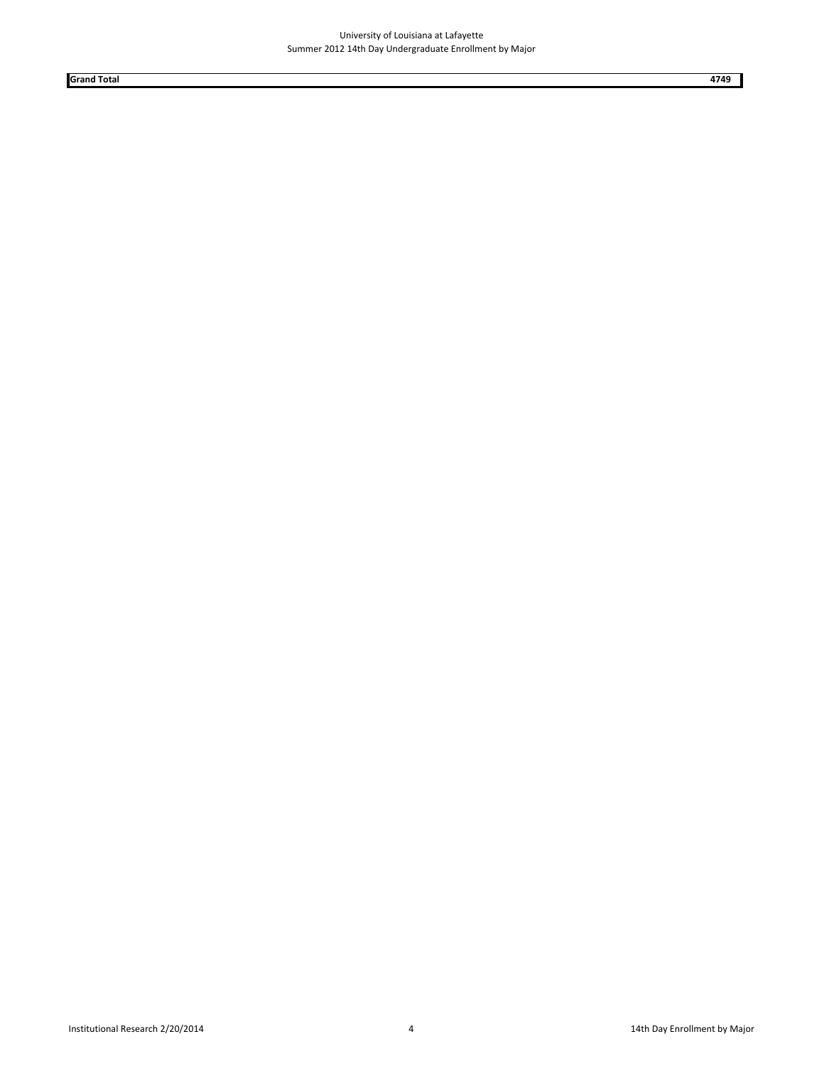**Grand Total 4749**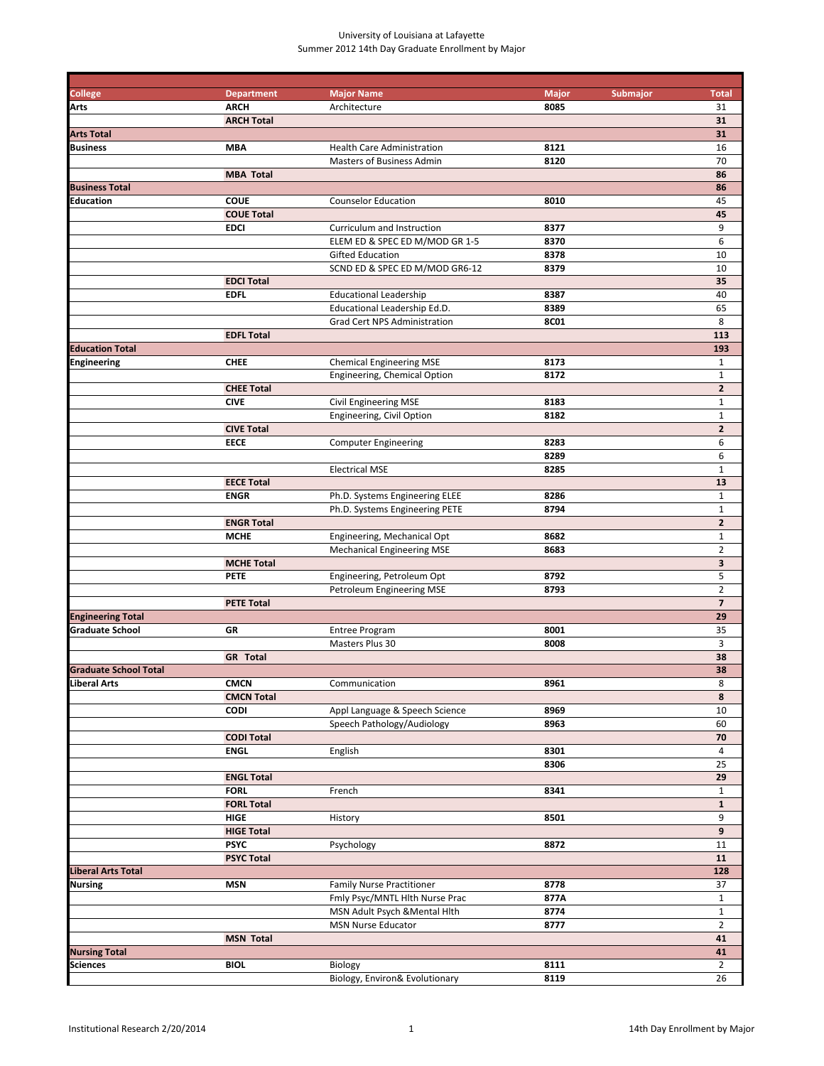# University of Louisiana at Lafayette Summer 2012 14th Day Graduate Enrollment by Major

| <b>College</b>               | <b>Department</b>                | <b>Major Name</b>                 | <b>Major</b><br>Submajor<br>8085 | <b>Total</b>            |
|------------------------------|----------------------------------|-----------------------------------|----------------------------------|-------------------------|
| Arts                         | <b>ARCH</b><br><b>ARCH Total</b> | Architecture                      |                                  | 31<br>31                |
| <b>Arts Total</b>            |                                  |                                   |                                  | 31                      |
| <b>Business</b>              | <b>MBA</b>                       | Health Care Administration        | 8121                             | 16                      |
|                              |                                  | Masters of Business Admin         | 8120                             | 70                      |
|                              | <b>MBA Total</b>                 |                                   |                                  | 86                      |
| <b>Business Total</b>        |                                  |                                   |                                  | 86                      |
| Education                    | <b>COUE</b>                      | <b>Counselor Education</b>        | 8010                             | 45                      |
|                              | <b>COUE Total</b>                |                                   |                                  | 45                      |
|                              | <b>EDCI</b>                      | Curriculum and Instruction        | 8377                             | 9                       |
|                              |                                  | ELEM ED & SPEC ED M/MOD GR 1-5    | 8370                             | 6                       |
|                              |                                  | Gifted Education                  | 8378                             | 10                      |
|                              |                                  | SCND ED & SPEC ED M/MOD GR6-12    | 8379                             | 10                      |
|                              | <b>EDCI Total</b>                |                                   |                                  | 35                      |
|                              | <b>EDFL</b>                      | <b>Educational Leadership</b>     | 8387                             | 40                      |
|                              |                                  | Educational Leadership Ed.D.      | 8389                             | 65                      |
|                              |                                  | Grad Cert NPS Administration      | <b>8C01</b>                      | 8<br>113                |
| <b>Education Total</b>       | <b>EDFL Total</b>                |                                   |                                  | 193                     |
| <b>Engineering</b>           | <b>CHEE</b>                      | <b>Chemical Engineering MSE</b>   | 8173                             | $\mathbf{1}$            |
|                              |                                  | Engineering, Chemical Option      | 8172                             | $\mathbf 1$             |
|                              | <b>CHEE Total</b>                |                                   |                                  | $\overline{2}$          |
|                              | <b>CIVE</b>                      | Civil Engineering MSE             | 8183                             | $\mathbf{1}$            |
|                              |                                  | Engineering, Civil Option         | 8182                             | $\mathbf 1$             |
|                              | <b>CIVE Total</b>                |                                   |                                  | $\overline{2}$          |
|                              | <b>EECE</b>                      | <b>Computer Engineering</b>       | 8283                             | 6                       |
|                              |                                  |                                   | 8289                             | 6                       |
|                              |                                  | <b>Electrical MSE</b>             | 8285                             | $\mathbf 1$             |
|                              | <b>EECE Total</b>                |                                   |                                  | 13                      |
|                              | <b>ENGR</b>                      | Ph.D. Systems Engineering ELEE    | 8286                             | $\mathbf{1}$            |
|                              |                                  | Ph.D. Systems Engineering PETE    | 8794                             | $\mathbf 1$             |
|                              | <b>ENGR Total</b>                |                                   |                                  | $\overline{2}$          |
|                              | <b>MCHE</b>                      | Engineering, Mechanical Opt       | 8682                             | $\mathbf{1}$            |
|                              |                                  | <b>Mechanical Engineering MSE</b> | 8683                             | $\overline{2}$          |
|                              | <b>MCHE Total</b>                |                                   |                                  | $\overline{\mathbf{3}}$ |
|                              | <b>PETE</b>                      | Engineering, Petroleum Opt        | 8792                             | 5                       |
|                              |                                  | Petroleum Engineering MSE         | 8793                             | $\overline{2}$          |
|                              | <b>PETE Total</b>                |                                   |                                  | $\overline{7}$          |
| <b>Engineering Total</b>     |                                  |                                   |                                  | 29                      |
| <b>Graduate School</b>       | GR                               | <b>Entree Program</b>             | 8001                             | 35                      |
|                              | <b>GR</b> Total                  | Masters Plus 30                   | 8008                             | 3<br>38                 |
| <b>Graduate School Total</b> |                                  |                                   |                                  | 38                      |
| Liberal Arts                 | <b>CMCN</b>                      | Communication                     | 8961                             | 8                       |
|                              | <b>CMCN Total</b>                |                                   |                                  | 8                       |
|                              | <b>CODI</b>                      | Appl Language & Speech Science    | 8969                             | 10                      |
|                              |                                  | Speech Pathology/Audiology        | 8963                             | 60                      |
|                              | <b>CODI Total</b>                |                                   |                                  | 70                      |
|                              | <b>ENGL</b>                      | English                           | 8301                             | $\overline{4}$          |
|                              |                                  |                                   | 8306                             | 25                      |
|                              | <b>ENGL Total</b>                |                                   |                                  | 29                      |
|                              | <b>FORL</b>                      | French                            | 8341                             | $\mathbf{1}$            |
|                              | <b>FORL Total</b>                |                                   |                                  | ${\bf 1}$               |
|                              | HIGE                             | History                           | 8501                             | 9                       |
|                              | <b>HIGE Total</b>                |                                   |                                  | 9                       |
|                              | <b>PSYC</b>                      | Psychology                        | 8872                             | 11                      |
|                              | <b>PSYC Total</b>                |                                   |                                  | 11                      |
| <b>Liberal Arts Total</b>    |                                  |                                   |                                  | 128                     |
| <b>Nursing</b>               | <b>MSN</b>                       | <b>Family Nurse Practitioner</b>  | 8778                             | 37                      |
|                              |                                  | Fmly Psyc/MNTL Hlth Nurse Prac    | 877A                             | $\mathbf{1}$            |
|                              |                                  | MSN Adult Psych & Mental Hith     | 8774                             | $\mathbf{1}$            |
|                              |                                  | MSN Nurse Educator                | 8777                             | $\overline{2}$          |
|                              | <b>MSN Total</b>                 |                                   |                                  | 41                      |
| <b>Nursing Total</b>         |                                  |                                   |                                  | 41                      |
| <b>Sciences</b>              | <b>BIOL</b>                      | Biology                           | 8111                             | $\overline{2}$          |
|                              |                                  | Biology, Environ& Evolutionary    | 8119                             | 26                      |